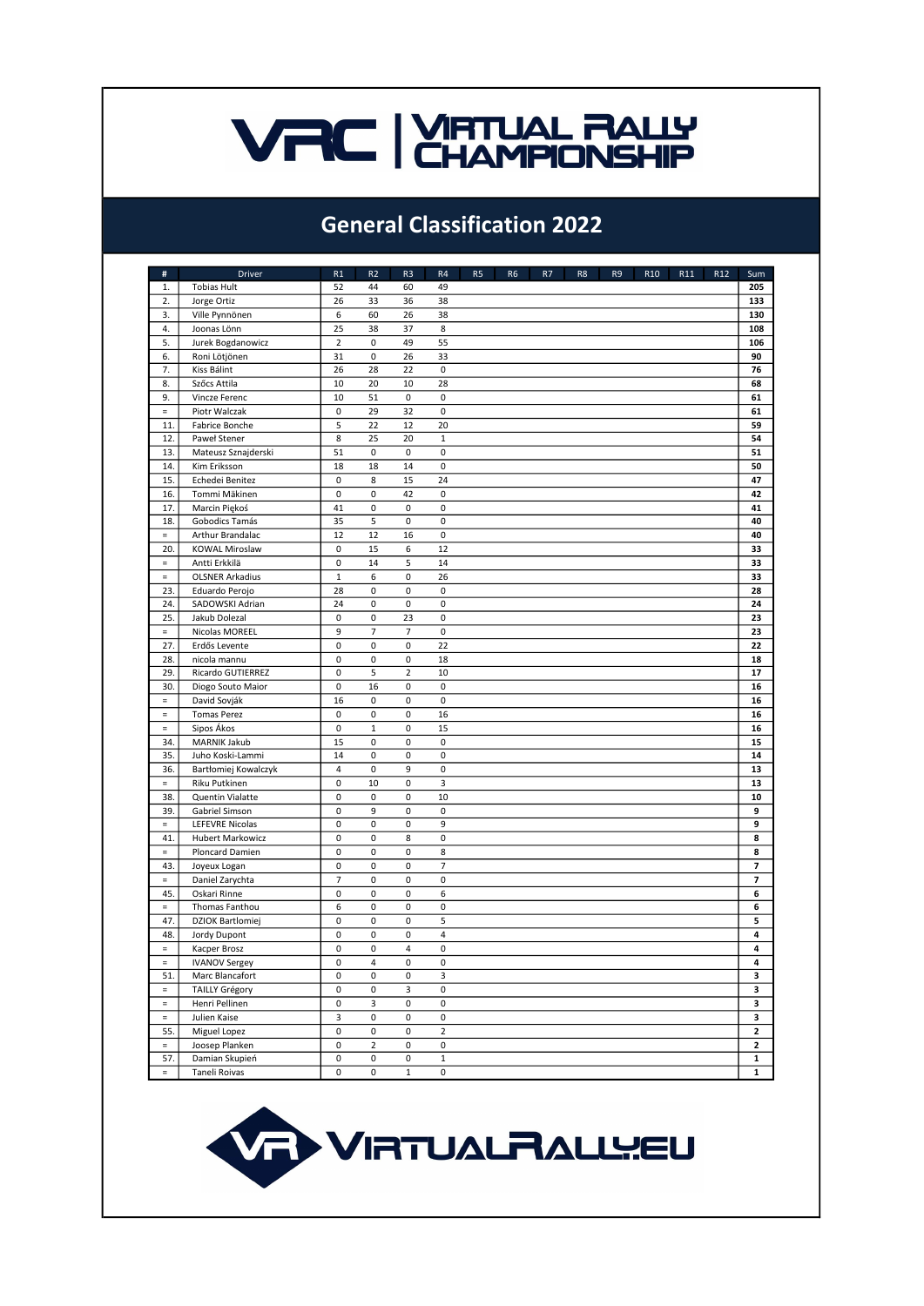### **VAC | VIRTUAL RALLY**

### General Classification 2022

| $\#$     | <b>Driver</b>           | R1             | R <sub>2</sub> | R <sub>3</sub> | R4             | R <sub>5</sub> | R <sub>6</sub> | R7 | R <sub>8</sub> | R <sub>9</sub> | R <sub>10</sub> | R11 | R12 | Sum                      |
|----------|-------------------------|----------------|----------------|----------------|----------------|----------------|----------------|----|----------------|----------------|-----------------|-----|-----|--------------------------|
| 1.       | <b>Tobias Hult</b>      | 52             | 44             | 60             | 49             |                |                |    |                |                |                 |     |     | 205                      |
| 2.       | Jorge Ortiz             | 26             | 33             | 36             | 38             |                |                |    |                |                |                 |     |     | 133                      |
| 3.       | Ville Pynnönen          | 6              | 60             | 26             | 38             |                |                |    |                |                |                 |     |     | 130                      |
| 4.       | Joonas Lönn             | 25             | 38             | 37             | 8              |                |                |    |                |                |                 |     |     | 108                      |
| 5.       | Jurek Bogdanowicz       | $\overline{2}$ | 0              | 49             | 55             |                |                |    |                |                |                 |     |     | 106                      |
| 6.       | Roni Lötjönen           | 31             | 0              | 26             | 33             |                |                |    |                |                |                 |     |     | 90                       |
| 7.       | Kiss Bálint             | 26             | 28             | 22             | 0              |                |                |    |                |                |                 |     |     | 76                       |
| 8.       | Szőcs Attila            | 10             | 20             | 10             | 28             |                |                |    |                |                |                 |     |     | 68                       |
| 9.       | Vincze Ferenc           | 10             | 51             | $\pmb{0}$      | 0              |                |                |    |                |                |                 |     |     | 61                       |
| $\equiv$ | Piotr Walczak           | 0              | 29             | 32             | 0              |                |                |    |                |                |                 |     |     | 61                       |
| 11.      | Fabrice Bonche          | 5              | 22             | 12             | 20             |                |                |    |                |                |                 |     |     | 59                       |
| 12.      | Paweł Stener            | 8              | 25             | 20             | $1\,$          |                |                |    |                |                |                 |     |     | 54                       |
| 13.      | Mateusz Sznajderski     | 51             | 0              | 0              | 0              |                |                |    |                |                |                 |     |     | 51                       |
| 14.      | Kim Eriksson            | 18             | 18             | 14             | 0              |                |                |    |                |                |                 |     |     | 50                       |
| 15.      | Echedei Benitez         | 0              | 8              | 15             | 24             |                |                |    |                |                |                 |     |     | 47                       |
| 16.      | Tommi Mäkinen           | 0              | $\mathbf 0$    | 42             | 0              |                |                |    |                |                |                 |     |     | 42                       |
| 17.      | Marcin Piękoś           | 41             | 0              | 0              | 0              |                |                |    |                |                |                 |     |     | 41                       |
| 18.      | Gobodics Tamás          | 35             | 5              | $\mathbf 0$    | 0              |                |                |    |                |                |                 |     |     | 40                       |
| $\equiv$ | Arthur Brandalac        | 12             | 12             | 16             | 0              |                |                |    |                |                |                 |     |     | 40                       |
| 20.      | <b>KOWAL Miroslaw</b>   | 0              | 15             | 6              | 12             |                |                |    |                |                |                 |     |     | 33                       |
| $\equiv$ | Antti Erkkilä           | $\pmb{0}$      | 14             | 5              | 14             |                |                |    |                |                |                 |     |     | 33                       |
| $\equiv$ | <b>OLSNER Arkadius</b>  | $\mathbf 1$    | 6              | $\mathbf 0$    | 26             |                |                |    |                |                |                 |     |     | 33                       |
| 23.      | Eduardo Perojo          | 28             | $\pmb{0}$      | 0              | 0              |                |                |    |                |                |                 |     |     | 28                       |
| 24.      | SADOWSKI Adrian         | 24             | 0              | $\mathbf 0$    | 0              |                |                |    |                |                |                 |     |     | 24                       |
| 25.      | Jakub Dolezal           | 0              | 0              | 23             | 0              |                |                |    |                |                |                 |     |     | 23                       |
| $\equiv$ | Nicolas MOREEL          | 9              | $\overline{7}$ | $\overline{7}$ | 0              |                |                |    |                |                |                 |     |     | 23                       |
| 27.      | Erdős Levente           | 0              | 0              | $\mathbf 0$    | 22             |                |                |    |                |                |                 |     |     | 22                       |
| 28.      | nicola mannu            | 0              | 0              | $\mathbf 0$    | 18             |                |                |    |                |                |                 |     |     | 18                       |
| 29.      | Ricardo GUTIERREZ       | 0              | 5              | $\mathbf 2$    | 10             |                |                |    |                |                |                 |     |     | 17                       |
| 30.      | Diogo Souto Maior       | 0              | 16             | $\pmb{0}$      | 0              |                |                |    |                |                |                 |     |     | 16                       |
| $\equiv$ | David Sovják            | 16             | 0              | 0              | 0              |                |                |    |                |                |                 |     |     | 16                       |
| $\equiv$ | <b>Tomas Perez</b>      | 0              | 0              | 0              | 16             |                |                |    |                |                |                 |     |     | 16                       |
| $\equiv$ | Sipos Ákos              | 0              | $\mathbf 1$    | 0              | 15             |                |                |    |                |                |                 |     |     | 16                       |
| 34.      | MARNIK Jakub            | 15             | 0              | $\mathbf 0$    | 0              |                |                |    |                |                |                 |     |     | 15                       |
| 35.      | Juho Koski-Lammi        | 14             | $\mathbf 0$    | $\mathbf 0$    | 0              |                |                |    |                |                |                 |     |     | 14                       |
| 36.      |                         | 4              | 0              | 9              | 0              |                |                |    |                |                |                 |     |     | 13                       |
|          | Bartłomiej Kowalczyk    | 0              | 10             | $\mathbf 0$    | 3              |                |                |    |                |                |                 |     |     |                          |
| $\equiv$ | Riku Putkinen           |                |                |                |                |                |                |    |                |                |                 |     |     | 13                       |
| 38.      | Quentin Vialatte        | 0              | 0              | 0              | 10             |                |                |    |                |                |                 |     |     | 10                       |
| 39.      | Gabriel Simson          | 0              | 9              | 0              | 0              |                |                |    |                |                |                 |     |     | 9                        |
| $\equiv$ | <b>LEFEVRE Nicolas</b>  | 0              | 0              | $\mathbf 0$    | 9              |                |                |    |                |                |                 |     |     | 9                        |
| 41.      | <b>Hubert Markowicz</b> | 0              | 0              | 8              | 0              |                |                |    |                |                |                 |     |     | 8                        |
| $\equiv$ | Ploncard Damien         | 0              | 0              | $\pmb{0}$      | 8              |                |                |    |                |                |                 |     |     | 8                        |
| 43.      | Joyeux Logan            | 0              | $\pmb{0}$      | 0              | $\overline{7}$ |                |                |    |                |                |                 |     |     | $\overline{\phantom{a}}$ |
| $\equiv$ | Daniel Zarychta         | 7              | 0              | 0              | 0              |                |                |    |                |                |                 |     |     | 7                        |
| 45.      | Oskari Rinne            | 0              | 0              | 0              | 6              |                |                |    |                |                |                 |     |     | 6                        |
| $\equiv$ | Thomas Fanthou          | 6              | $\pmb{0}$      | $\pmb{0}$      | 0              |                |                |    |                |                |                 |     |     | 6                        |
| 47.      | <b>DZIOK Bartlomiej</b> | 0              | 0              | $\pmb{0}$      | 5              |                |                |    |                |                |                 |     |     | 5                        |
| 48.      | Jordy Dupont            | 0              | 0              | 0              | 4              |                |                |    |                |                |                 |     |     | 4                        |
| $\equiv$ | Kacper Brosz            | 0              | 0              | 4              | 0              |                |                |    |                |                |                 |     |     | 4                        |
| $\equiv$ | <b>IVANOV Sergey</b>    | 0              | 4              | 0              | 0              |                |                |    |                |                |                 |     |     | 4                        |
| 51.      | Marc Blancafort         | 0              | 0              | 0              | 3              |                |                |    |                |                |                 |     |     | 3                        |
| $\equiv$ | <b>TAILLY Grégory</b>   | 0              | 0              | 3              | 0              |                |                |    |                |                |                 |     |     | з                        |
| $\equiv$ | Henri Pellinen          | 0              | 3              | $\pmb{0}$      | 0              |                |                |    |                |                |                 |     |     | 3                        |
| $\equiv$ | Julien Kaise            | 3              | 0              | $\pmb{0}$      | 0              |                |                |    |                |                |                 |     |     | 3                        |
| 55.      | Miguel Lopez            | 0              | 0              | $\pmb{0}$      | $\overline{2}$ |                |                |    |                |                |                 |     |     | $\mathbf{2}$             |
| $\equiv$ | Joosep Planken          | 0              | $\overline{2}$ | 0              | 0              |                |                |    |                |                |                 |     |     | $\mathbf{2}$             |
| 57.      | Damian Skupień          | 0              | 0              | 0              | $\mathbf 1$    |                |                |    |                |                |                 |     |     | $\mathbf{1}$             |
| $\equiv$ | Taneli Roivas           | 0              | 0              | $\mathbf 1$    | 0              |                |                |    |                |                |                 |     |     | 1                        |

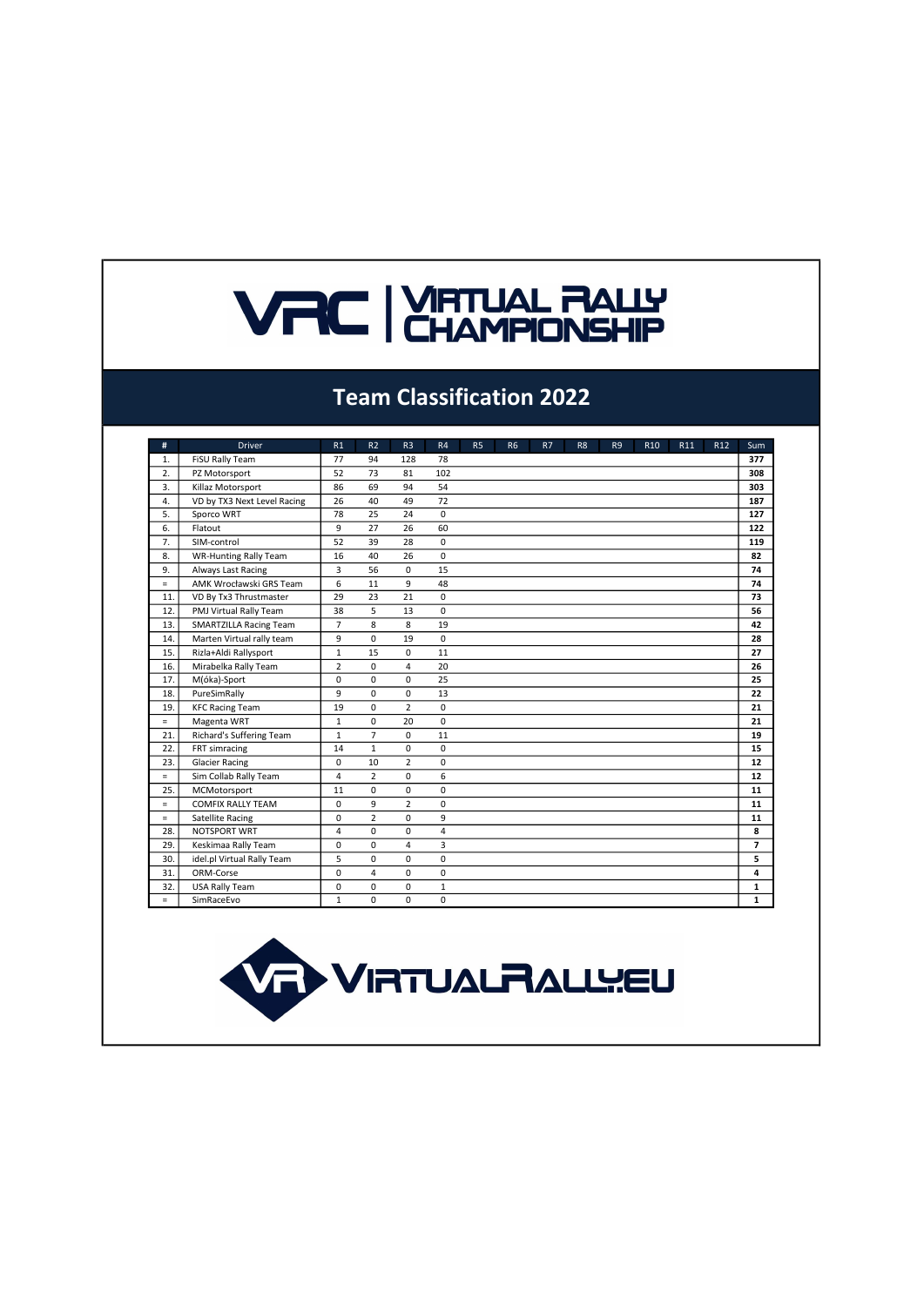# **VRC | YATUAL RALLY**

#### Team Classification 2022

| #        | <b>Driver</b>                 | R1             | R <sub>2</sub> | R <sub>3</sub> | R4             | <b>R5</b> | <b>R6</b> | R7 | R <sub>8</sub> | R <sub>9</sub> | R <sub>10</sub> | R <sub>11</sub> | R <sub>12</sub> | Sum            |
|----------|-------------------------------|----------------|----------------|----------------|----------------|-----------|-----------|----|----------------|----------------|-----------------|-----------------|-----------------|----------------|
| 1.       | FiSU Rally Team               | 77             | 94             | 128            | 78             |           |           |    |                |                |                 |                 |                 | 377            |
| 2.       | PZ Motorsport                 | 52             | 73             | 81             | 102            |           |           |    |                |                |                 |                 |                 | 308            |
| 3.       | Killaz Motorsport             | 86             | 69             | 94             | 54             |           |           |    |                |                |                 |                 |                 | 303            |
| 4.       | VD by TX3 Next Level Racing   | 26             | 40             | 49             | 72             |           |           |    |                |                |                 |                 |                 | 187            |
| 5.       | Sporco WRT                    | 78             | 25             | 24             | $\Omega$       |           |           |    |                |                |                 |                 |                 | 127            |
| 6.       | Flatout                       | 9              | 27             | 26             | 60             |           |           |    |                |                |                 |                 |                 | 122            |
| 7.       | SIM-control                   | 52             | 39             | 28             | 0              |           |           |    |                |                |                 |                 |                 | 119            |
| 8.       | <b>WR-Hunting Rally Team</b>  | 16             | 40             | 26             | 0              |           |           |    |                |                |                 |                 |                 | 82             |
| 9.       | Always Last Racing            | 3              | 56             | 0              | 15             |           |           |    |                |                |                 |                 |                 | 74             |
| $=$      | AMK Wrocławski GRS Team       | 6              | 11             | 9              | 48             |           |           |    |                |                |                 |                 |                 | 74             |
| 11.      | VD By Tx3 Thrustmaster        | 29             | 23             | 21             | 0              |           |           |    |                |                |                 |                 |                 | 73             |
| 12.      | PMJ Virtual Rally Team        | 38             | 5              | 13             | 0              |           |           |    |                |                |                 |                 |                 | 56             |
| 13.      | <b>SMARTZILLA Racing Team</b> | $\overline{7}$ | 8              | 8              | 19             |           |           |    |                |                |                 |                 |                 | 42             |
| 14.      | Marten Virtual rally team     | 9              | 0              | 19             | 0              |           |           |    |                |                |                 |                 |                 | 28             |
| 15.      | Rizla+Aldi Rallysport         | $\mathbf{1}$   | 15             | 0              | 11             |           |           |    |                |                |                 |                 |                 | 27             |
| 16.      | Mirabelka Rally Team          | $\overline{2}$ | $\Omega$       | 4              | 20             |           |           |    |                |                |                 |                 |                 | 26             |
| 17.      | M(óka)-Sport                  | 0              | 0              | 0              | 25             |           |           |    |                |                |                 |                 |                 | 25             |
| 18.      | PureSimRally                  | 9              | $\Omega$       | 0              | 13             |           |           |    |                |                |                 |                 |                 | 22             |
| 19.      | <b>KFC Racing Team</b>        | 19             | 0              | $\overline{2}$ | 0              |           |           |    |                |                |                 |                 |                 | 21             |
| $=$      | Magenta WRT                   | $\mathbf{1}$   | 0              | 20             | 0              |           |           |    |                |                |                 |                 |                 | 21             |
| 21.      | Richard's Suffering Team      | $\mathbf{1}$   | $\overline{7}$ | 0              | 11             |           |           |    |                |                |                 |                 |                 | 19             |
| 22.      | FRT simracing                 | 14             | $\mathbf{1}$   | $\Omega$       | 0              |           |           |    |                |                |                 |                 |                 | 15             |
| 23.      | <b>Glacier Racing</b>         | $\Omega$       | 10             | $\overline{2}$ | 0              |           |           |    |                |                |                 |                 |                 | 12             |
| $=$      | Sim Collab Rally Team         | 4              | $\overline{2}$ | 0              | 6              |           |           |    |                |                |                 |                 |                 | 12             |
| 25.      | MCMotorsport                  | 11             | 0              | 0              | 0              |           |           |    |                |                |                 |                 |                 | 11             |
| $\equiv$ | <b>COMFIX RALLY TEAM</b>      | 0              | 9              | $\overline{2}$ | 0              |           |           |    |                |                |                 |                 |                 | 11             |
| $=$      | <b>Satellite Racing</b>       | $\Omega$       | $\overline{2}$ | $\Omega$       | 9              |           |           |    |                |                |                 |                 |                 | 11             |
| 28.      | NOTSPORT WRT                  | 4              | 0              | 0              | $\overline{4}$ |           |           |    |                |                |                 |                 |                 | 8              |
| 29.      | Keskimaa Rally Team           | $\Omega$       | $\Omega$       | 4              | 3              |           |           |    |                |                |                 |                 |                 | $\overline{7}$ |
| 30.      | idel.pl Virtual Rally Team    | 5              | 0              | 0              | 0              |           |           |    |                |                |                 |                 |                 | 5              |
| 31.      | ORM-Corse                     | $\Omega$       | $\overline{4}$ | $\mathbf 0$    | 0              |           |           |    |                |                |                 |                 |                 | 4              |
| 32.      | USA Rally Team                | 0              | 0              | 0              | $\mathbf{1}$   |           |           |    |                |                |                 |                 |                 | 1              |
| $=$      | SimRaceEvo                    | $\mathbf{1}$   | 0              | 0              | 0              |           |           |    |                |                |                 |                 |                 | 1              |

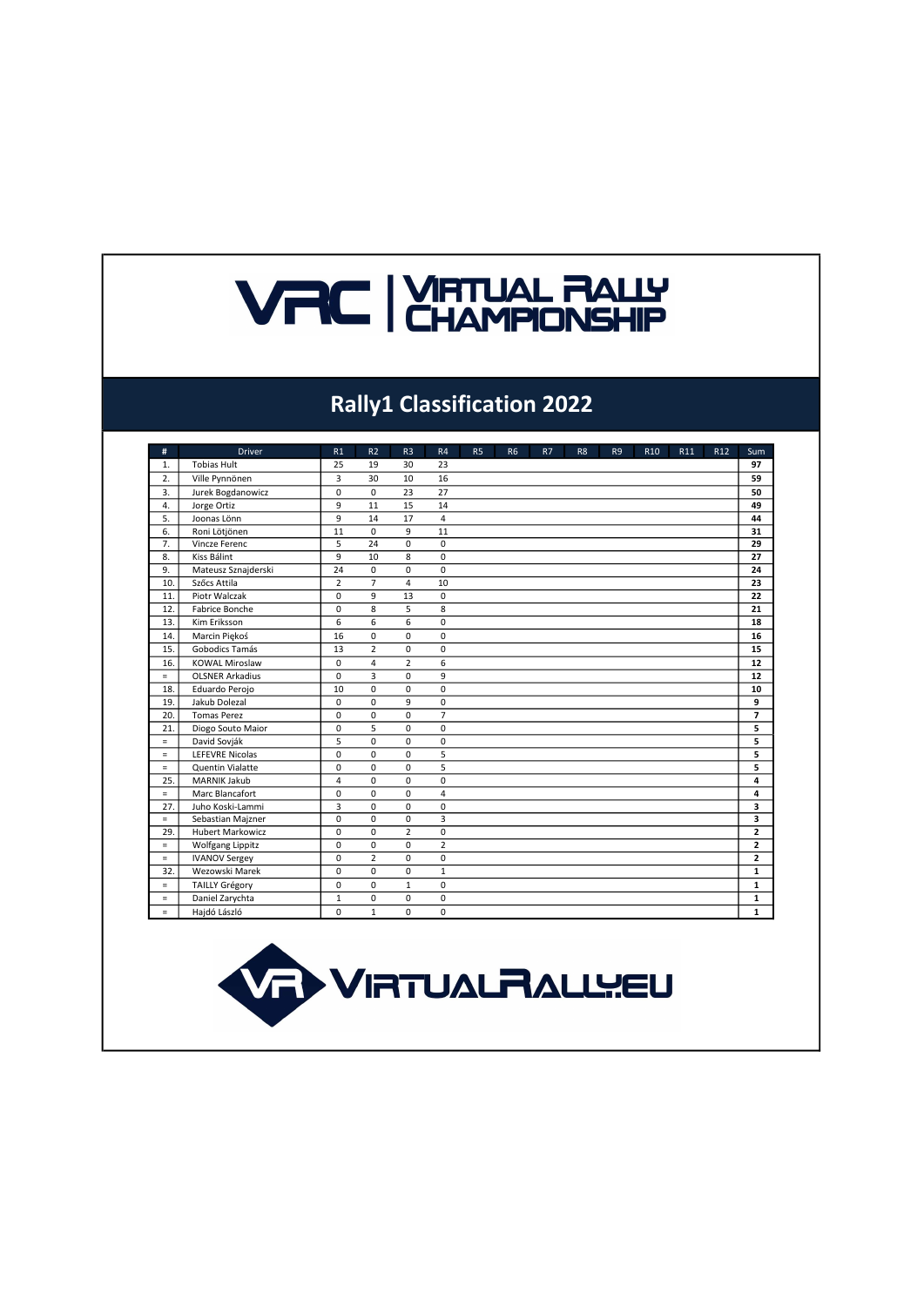# **VRC EXAMPIONSHIP**

### Rally1 Classification 2022

| #        | <b>Driver</b>           | R1             | R <sub>2</sub> | R <sub>3</sub>  | R4             | <b>R5</b> | <b>R6</b> | R7 | R <sub>8</sub> | R <sub>9</sub> | R <sub>10</sub> | R11 | R <sub>12</sub> | Sum                     |
|----------|-------------------------|----------------|----------------|-----------------|----------------|-----------|-----------|----|----------------|----------------|-----------------|-----|-----------------|-------------------------|
| 1.       | <b>Tobias Hult</b>      | 25             | 19             | 30              | 23             |           |           |    |                |                |                 |     |                 | 97                      |
| 2.       | Ville Pynnönen          | 3              | 30             | 10 <sup>1</sup> | 16             |           |           |    |                |                |                 |     |                 | 59                      |
| 3.       | Jurek Bogdanowicz       | 0              | $\Omega$       | 23              | 27             |           |           |    |                |                |                 |     |                 | 50                      |
| 4.       | Jorge Ortiz             | 9              | 11             | 15              | 14             |           |           |    |                |                |                 |     |                 | 49                      |
| 5.       | Joonas Lönn             | 9              | 14             | 17              | $\overline{4}$ |           |           |    |                |                |                 |     |                 | 44                      |
| 6.       | Roni Lötjönen           | 11             | $\Omega$       | 9               | 11             |           |           |    |                |                |                 |     |                 | 31                      |
| 7.       | Vincze Ferenc           | 5              | 24             | 0               | $\mathbf 0$    |           |           |    |                |                |                 |     |                 | 29                      |
| 8.       | Kiss Bálint             | 9              | 10             | 8               | $\mathbf 0$    |           |           |    |                |                |                 |     |                 | 27                      |
| 9.       | Mateusz Sznajderski     | 24             | $\mathbf 0$    | 0               | 0              |           |           |    |                |                |                 |     |                 | 24                      |
| 10.      | Szőcs Attila            | $\overline{2}$ | $\overline{7}$ | 4               | 10             |           |           |    |                |                |                 |     |                 | 23                      |
| 11.      | Piotr Walczak           | 0              | 9              | 13              | 0              |           |           |    |                |                |                 |     |                 | 22                      |
| 12.      | Fabrice Bonche          | $\Omega$       | 8              | 5               | 8              |           |           |    |                |                |                 |     |                 | 21                      |
| 13.      | Kim Eriksson            | 6              | 6              | 6               | 0              |           |           |    |                |                |                 |     |                 | 18                      |
| 14.      | Marcin Piekoś           | 16             | $\Omega$       | $\Omega$        | 0              |           |           |    |                |                |                 |     |                 | 16                      |
| 15.      | Gobodics Tamás          | 13             | $\overline{2}$ | 0               | 0              |           |           |    |                |                |                 |     |                 | 15                      |
| 16.      | <b>KOWAL Miroslaw</b>   | $\mathbf 0$    | 4              | $\overline{2}$  | 6              |           |           |    |                |                |                 |     |                 | 12                      |
| $=$      | <b>OLSNER Arkadius</b>  | $\mathbf 0$    | 3              | $\mathbf 0$     | 9              |           |           |    |                |                |                 |     |                 | 12                      |
| 18.      | Eduardo Perojo          | 10             | $\Omega$       | $\Omega$        | $\Omega$       |           |           |    |                |                |                 |     |                 | 10                      |
| 19.      | Jakub Dolezal           | $\Omega$       | $\Omega$       | 9               | 0              |           |           |    |                |                |                 |     |                 | 9                       |
| 20.      | <b>Tomas Perez</b>      | 0              | 0              | $\mathbf 0$     | $\overline{7}$ |           |           |    |                |                |                 |     |                 | $\overline{7}$          |
| 21.      | Diogo Souto Maior       | 0              | 5              | $\mathbf 0$     | 0              |           |           |    |                |                |                 |     |                 | 5                       |
| $\equiv$ | David Sovják            | 5              | $\Omega$       | $\Omega$        | 0              |           |           |    |                |                |                 |     |                 | 5                       |
| $\equiv$ | <b>LEFEVRE Nicolas</b>  | $\Omega$       | $\Omega$       | $\Omega$        | 5              |           |           |    |                |                |                 |     |                 | 5                       |
| $\equiv$ | Quentin Vialatte        | $\mathbf 0$    | $\Omega$       | $\mathbf 0$     | $\overline{5}$ |           |           |    |                |                |                 |     |                 | 5                       |
| 25.      | <b>MARNIK Jakub</b>     | 4              | $\Omega$       | $\Omega$        | 0              |           |           |    |                |                |                 |     |                 | 4                       |
| $=$      | Marc Blancafort         | $\Omega$       | $\Omega$       | $\Omega$        | $\overline{4}$ |           |           |    |                |                |                 |     |                 | 4                       |
| 27.      | Juho Koski-Lammi        | 3              | 0              | 0               | 0              |           |           |    |                |                |                 |     |                 | 3                       |
| $\equiv$ | Sebastian Majzner       | 0              | $\mathbf 0$    | 0               | $\overline{3}$ |           |           |    |                |                |                 |     |                 | 3                       |
| 29.      | <b>Hubert Markowicz</b> | 0              | $\Omega$       | $\overline{2}$  | 0              |           |           |    |                |                |                 |     |                 | $\overline{2}$          |
| $\equiv$ | <b>Wolfgang Lippitz</b> | $\Omega$       | $\Omega$       | $\Omega$        | $\overline{2}$ |           |           |    |                |                |                 |     |                 | $\overline{\mathbf{c}}$ |
| $\equiv$ | <b>IVANOV Sergey</b>    | $\Omega$       | $\overline{2}$ | $\Omega$        | 0              |           |           |    |                |                |                 |     |                 | $\overline{2}$          |
| 32.      | Wezowski Marek          | 0              | 0              | 0               | $\mathbf{1}$   |           |           |    |                |                |                 |     |                 | $\mathbf{1}$            |
| $\equiv$ | <b>TAILLY Grégory</b>   | 0              | 0              | $\mathbf{1}$    | 0              |           |           |    |                |                |                 |     |                 | 1                       |
| $\equiv$ | Daniel Zarychta         | $\mathbf{1}$   | 0              | 0               | 0              |           |           |    |                |                |                 |     |                 | 1                       |
| $\equiv$ | Hajdó László            | 0              | $\mathbf{1}$   | 0               | 0              |           |           |    |                |                |                 |     |                 | 1                       |

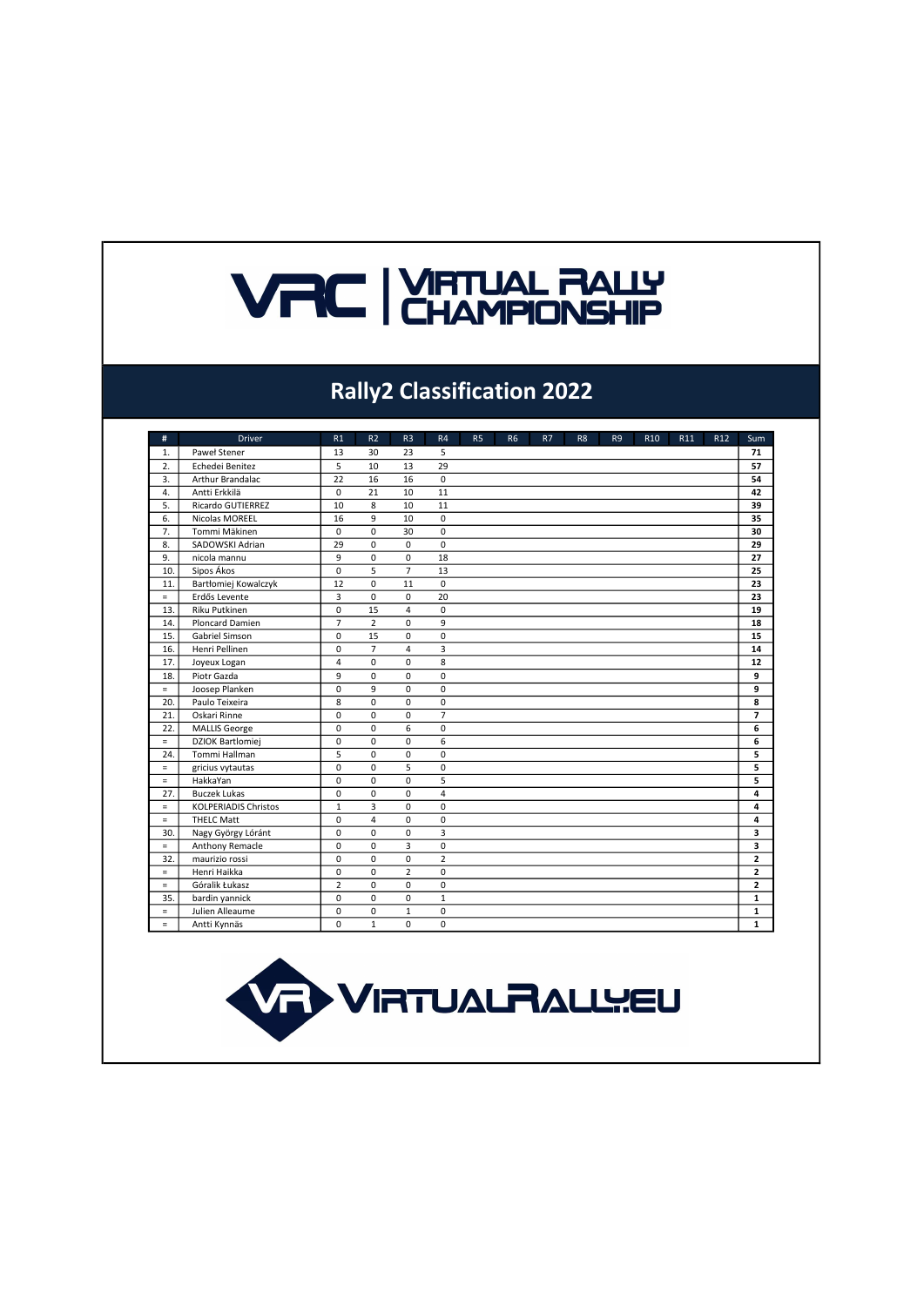# **VRC | VIRTUAL RALLY**

### Rally2 Classification 2022

| #        | <b>Driver</b>               | R1             | R <sub>2</sub> | R <sub>3</sub>          | R <sub>4</sub> | <b>R5</b> | <b>R6</b> | R7 | R <sub>8</sub> | R <sub>9</sub> | R <sub>10</sub> | R <sub>11</sub> | R <sub>12</sub> | Sum            |
|----------|-----------------------------|----------------|----------------|-------------------------|----------------|-----------|-----------|----|----------------|----------------|-----------------|-----------------|-----------------|----------------|
| 1.       | Paweł Stener                | 13             | 30             | 23                      | 5              |           |           |    |                |                |                 |                 |                 | 71             |
| 2.       | Echedei Benitez             | 5              | 10             | 13                      | 29             |           |           |    |                |                |                 |                 |                 | 57             |
| 3.       | Arthur Brandalac            | 22             | 16             | 16                      | 0              |           |           |    |                |                |                 |                 |                 | 54             |
| 4.       | Antti Erkkilä               | 0              | 21             | 10                      | 11             |           |           |    |                |                |                 |                 |                 | 42             |
| 5.       | Ricardo GUTIERREZ           | 10             | 8              | 10                      | 11             |           |           |    |                |                |                 |                 |                 | 39             |
| 6.       | Nicolas MOREEL              | 16             | 9              | 10                      | 0              |           |           |    |                |                |                 |                 |                 | 35             |
| 7.       | Tommi Mäkinen               | 0              | $\mathbf 0$    | 30                      | 0              |           |           |    |                |                |                 |                 |                 | 30             |
| 8.       | SADOWSKI Adrian             | 29             | $\mathbf 0$    | 0                       | 0              |           |           |    |                |                |                 |                 |                 | 29             |
| 9.       | nicola mannu                | 9              | 0              | 0                       | 18             |           |           |    |                |                |                 |                 |                 | 27             |
| 10.      | Sipos Ákos                  | $\Omega$       | 5              | $\overline{7}$          | 13             |           |           |    |                |                |                 |                 |                 | 25             |
| 11.      | Bartłomiej Kowalczyk        | 12             | 0              | 11                      | $\Omega$       |           |           |    |                |                |                 |                 |                 | 23             |
| $\equiv$ | Erdős Levente               | 3              | $\Omega$       | $\Omega$                | 20             |           |           |    |                |                |                 |                 |                 | 23             |
| 13.      | <b>Riku Putkinen</b>        | 0              | 15             | $\overline{4}$          | 0              |           |           |    |                |                |                 |                 |                 | 19             |
| 14.      | Ploncard Damien             | $\overline{7}$ | $\overline{2}$ | 0                       | 9              |           |           |    |                |                |                 |                 |                 | 18             |
| 15.      | Gabriel Simson              | $\Omega$       | 15             | $\Omega$                | 0              |           |           |    |                |                |                 |                 |                 | 15             |
| 16.      | Henri Pellinen              | $\Omega$       | $\overline{7}$ | $\overline{\mathbf{4}}$ | $\overline{3}$ |           |           |    |                |                |                 |                 |                 | 14             |
| 17.      | Joyeux Logan                | 4              | 0              | 0                       | 8              |           |           |    |                |                |                 |                 |                 | 12             |
| 18.      | Piotr Gazda                 | 9              | $\mathbf 0$    | $\Omega$                | 0              |           |           |    |                |                |                 |                 |                 | 9              |
| $\equiv$ | Joosep Planken              | 0              | 9              | 0                       | 0              |           |           |    |                |                |                 |                 |                 | 9              |
| 20.      | Paulo Teixeira              | 8              | 0              | $\Omega$                | 0              |           |           |    |                |                |                 |                 |                 | 8              |
| 21.      | Oskari Rinne                | 0              | 0              | $\mathbf 0$             | $\overline{7}$ |           |           |    |                |                |                 |                 |                 | $\overline{7}$ |
| 22.      | <b>MALLIS</b> George        | 0              | $\mathbf 0$    | 6                       | $\mathbf 0$    |           |           |    |                |                |                 |                 |                 | 6              |
| $\equiv$ | <b>DZIOK Bartlomiej</b>     | $\Omega$       | $\Omega$       | $\Omega$                | 6              |           |           |    |                |                |                 |                 |                 | 6              |
| 24.      | Tommi Hallman               | 5              | $\mathbf 0$    | $\mathbf 0$             | 0              |           |           |    |                |                |                 |                 |                 | 5              |
| $\equiv$ | gricius vytautas            | 0              | 0              | 5                       | 0              |           |           |    |                |                |                 |                 |                 | 5              |
| $\equiv$ | HakkaYan                    | 0              | 0              | 0                       | 5              |           |           |    |                |                |                 |                 |                 | 5              |
| 27.      | <b>Buczek Lukas</b>         | 0              | 0              | 0                       | 4              |           |           |    |                |                |                 |                 |                 | 4              |
| $\equiv$ | <b>KOLPERIADIS Christos</b> | $\mathbf{1}$   | $\overline{3}$ | $\Omega$                | 0              |           |           |    |                |                |                 |                 |                 | 4              |
| $\equiv$ | <b>THELC Matt</b>           | 0              | $\overline{4}$ | 0                       | 0              |           |           |    |                |                |                 |                 |                 | 4              |
| 30.      | Nagy György Lóránt          | 0              | 0              | $\mathbf 0$             | 3              |           |           |    |                |                |                 |                 |                 | 3              |
| $\equiv$ | Anthony Remacle             | 0              | 0              | $\overline{3}$          | 0              |           |           |    |                |                |                 |                 |                 | 3              |
| 32.      | maurizio rossi              | 0              | 0              | $\mathbf 0$             | $\overline{2}$ |           |           |    |                |                |                 |                 |                 | $\overline{2}$ |
| $\equiv$ | Henri Haikka                | 0              | 0              | $\overline{2}$          | $\mathbf 0$    |           |           |    |                |                |                 |                 |                 | $\overline{2}$ |
| $\equiv$ | Góralik Łukasz              | $\overline{2}$ | 0              | $\mathbf 0$             | 0              |           |           |    |                |                |                 |                 |                 | $\overline{2}$ |
| 35.      | bardin yannick              | 0              | 0              | 0                       | $\mathbf{1}$   |           |           |    |                |                |                 |                 |                 | $\mathbf{1}$   |
| $\equiv$ | Julien Alleaume             | 0              | 0              | $\mathbf{1}$            | 0              |           |           |    |                |                |                 |                 |                 | $\mathbf{1}$   |
| $\equiv$ | Antti Kynnäs                | $\Omega$       | $\mathbf{1}$   | $\Omega$                | 0              |           |           |    |                |                |                 |                 |                 | $\mathbf{1}$   |

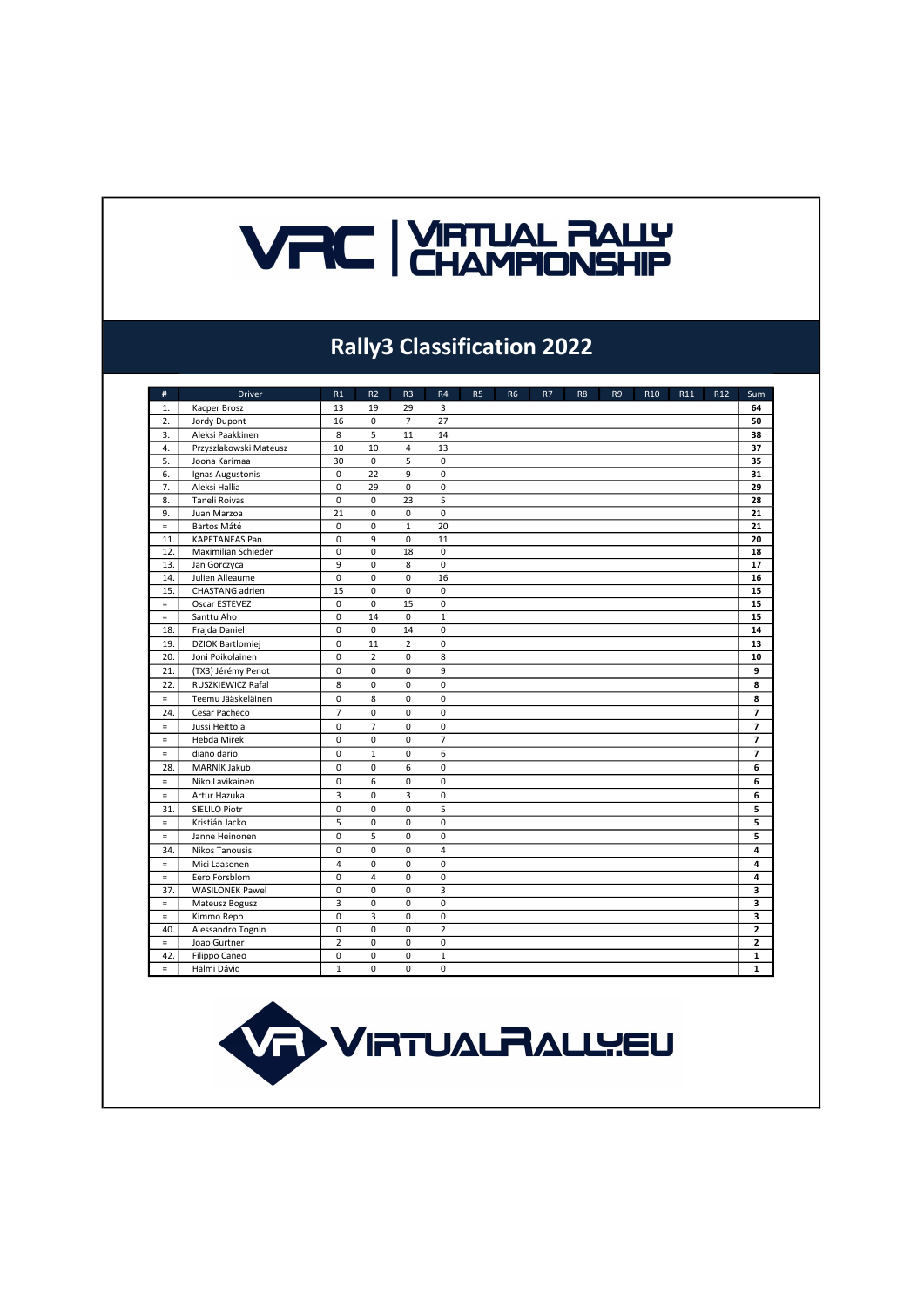# **VRC EXAMPIONSHIP**

#### Rally3 Classification 2022

| #                | <b>Driver</b>           | R1             | R <sub>2</sub> | R <sub>3</sub> | R4                      | R <sub>5</sub> | R <sub>6</sub> | R7 | R <sub>8</sub> | R <sub>9</sub> | R <sub>10</sub> | R11 | R12 | Sum            |
|------------------|-------------------------|----------------|----------------|----------------|-------------------------|----------------|----------------|----|----------------|----------------|-----------------|-----|-----|----------------|
| 1.               | Kacper Brosz            | 13             | 19             | 29             | 3                       |                |                |    |                |                |                 |     |     | 64             |
| $\overline{2}$ . | Jordy Dupont            | 16             | $\mathbf 0$    | $\overline{7}$ | $\overline{27}$         |                |                |    |                |                |                 |     |     | 50             |
| 3.               | Aleksi Paakkinen        | 8              | 5              | 11             | 14                      |                |                |    |                |                |                 |     |     | 38             |
| 4.               | Przyszlakowski Mateusz  | 10             | 10             | $\overline{4}$ | 13                      |                |                |    |                |                |                 |     |     | 37             |
| 5.               | Joona Karimaa           | 30             | $\mathbf 0$    | $\overline{5}$ | $\mathbf 0$             |                |                |    |                |                |                 |     |     | 35             |
| 6.               | Ignas Augustonis        | $\mathbf 0$    | 22             | 9              | $\mathbf 0$             |                |                |    |                |                |                 |     |     | 31             |
| 7.               | Aleksi Hallia           | 0              | 29             | $\pmb{0}$      | $\mathbf 0$             |                |                |    |                |                |                 |     |     | 29             |
| 8.               | <b>Taneli Roivas</b>    | 0              | $\Omega$       | 23             | $\overline{5}$          |                |                |    |                |                |                 |     |     | 28             |
| 9.               | Juan Marzoa             | 21             | 0              | 0              | $\mathbf 0$             |                |                |    |                |                |                 |     |     | 21             |
| $\equiv$         | Bartos Máté             | $\mathbf 0$    | $\mathsf 0$    | $\mathbf 1$    | 20                      |                |                |    |                |                |                 |     |     | 21             |
| 11.              | <b>KAPETANEAS Pan</b>   | $\mathbf 0$    | 9              | $\mathbf 0$    | 11                      |                |                |    |                |                |                 |     |     | 20             |
| 12.              | Maximilian Schieder     | $\mathbf 0$    | 0              | 18             | $\mathbf 0$             |                |                |    |                |                |                 |     |     | 18             |
| 13.              | Jan Gorczyca            | 9              | $\mathbf 0$    | 8              | $\pmb{0}$               |                |                |    |                |                |                 |     |     | 17             |
| 14.              | Julien Alleaume         | $\mathbf 0$    | 0              | 0              | 16                      |                |                |    |                |                |                 |     |     | 16             |
| 15.              | CHASTANG adrien         | 15             | 0              | $\mathbf 0$    | $\mathbf 0$             |                |                |    |                |                |                 |     |     | 15             |
| $\equiv$         | Oscar ESTEVEZ           | 0              | $\mathbf 0$    | 15             | $\mathbf 0$             |                |                |    |                |                |                 |     |     | 15             |
| $\equiv$         | Santtu Aho              | $\mathbf 0$    | 14             | $\mathbf 0$    | $\mathbf 1$             |                |                |    |                |                |                 |     |     | 15             |
| 18.              | Frajda Daniel           | 0              | 0              | 14             | $\mathbf 0$             |                |                |    |                |                |                 |     |     | 14             |
| 19.              | <b>DZIOK Bartlomiej</b> | $\mathbf 0$    | 11             | $\overline{2}$ | $\mathbf 0$             |                |                |    |                |                |                 |     |     | 13             |
| 20.              | Joni Poikolainen        | $\mathbf 0$    | $\overline{2}$ | $\mathbf 0$    | 8                       |                |                |    |                |                |                 |     |     | 10             |
| 21.              | (TX3) Jérémy Penot      | 0              | 0              | 0              | 9                       |                |                |    |                |                |                 |     |     | 9              |
| 22.              | RUSZKIEWICZ Rafal       | 8              | $\pmb{0}$      | $\pmb{0}$      | $\mathbf 0$             |                |                |    |                |                |                 |     |     | 8              |
| $=$              | Teemu Jääskeläinen      | 0              | 8              | $\mathbf 0$    | $\mathbf 0$             |                |                |    |                |                |                 |     |     | 8              |
| 24.              | Cesar Pacheco           | $\overline{7}$ | 0              | $\pmb{0}$      | $\pmb{0}$               |                |                |    |                |                |                 |     |     | $\overline{ }$ |
| $\equiv$         | Jussi Heittola          | 0              | $\overline{7}$ | 0              | $\mathbf 0$             |                |                |    |                |                |                 |     |     | $\overline{7}$ |
| $\equiv$         | <b>Hebda Mirek</b>      | $\Omega$       | 0              | $\mathbf 0$    | $\overline{7}$          |                |                |    |                |                |                 |     |     | $\overline{ }$ |
| $\equiv$         | diano dario             | $\Omega$       | $\mathbf{1}$   | $\mathbf 0$    | 6                       |                |                |    |                |                |                 |     |     | $\overline{ }$ |
| 28.              | <b>MARNIK Jakub</b>     | 0              | 0              | 6              | $\mathbf 0$             |                |                |    |                |                |                 |     |     | 6              |
| $\equiv$         | Niko Lavikainen         | 0              | 6              | 0              | $\mathbf 0$             |                |                |    |                |                |                 |     |     | 6              |
| $\equiv$         | Artur Hazuka            | 3              | 0              | $\overline{3}$ | $\mathbf 0$             |                |                |    |                |                |                 |     |     | 6              |
| 31.              | SIELILO Piotr           | 0              | 0              | 0              | 5                       |                |                |    |                |                |                 |     |     | 5              |
| $\equiv$         | Kristián Jacko          | 5              | 0              | 0              | $\mathbf 0$             |                |                |    |                |                |                 |     |     | 5              |
| $\equiv$         | Janne Heinonen          | $\mathbf 0$    | 5              | $\mathbf 0$    | $\mathbf 0$             |                |                |    |                |                |                 |     |     | 5              |
| 34.              | <b>Nikos Tanousis</b>   | $\mathbf 0$    | $\mathbf 0$    | $\mathbf 0$    | $\overline{\mathbf{4}}$ |                |                |    |                |                |                 |     |     | 4              |
| $\equiv$         | Mici Laasonen           | $\overline{4}$ | 0              | 0              | $\mathbf 0$             |                |                |    |                |                |                 |     |     | 4              |
| $\equiv$         | Eero Forsblom           | 0              | 4              | 0              | $\mathbf 0$             |                |                |    |                |                |                 |     |     | 4              |
| 37.              | <b>WASILONEK Pawel</b>  | $\mathbf 0$    | $\overline{0}$ | $\overline{0}$ | $\overline{\mathbf{3}}$ |                |                |    |                |                |                 |     |     | 3              |
| $\equiv$         | Mateusz Bogusz          | 3              | 0              | 0              | $\mathbf 0$             |                |                |    |                |                |                 |     |     | 3              |
| $\equiv$         | Kimmo Repo              | 0              | $\overline{3}$ | 0              | $\mathbf 0$             |                |                |    |                |                |                 |     |     | 3              |
| 40.              | Alessandro Tognin       | 0              | 0              | 0              | $\overline{2}$          |                |                |    |                |                |                 |     |     | $\overline{2}$ |
| $\equiv$         | Joao Gurtner            | $\overline{2}$ | 0              | $\mathbf 0$    | $\mathbf 0$             |                |                |    |                |                |                 |     |     | $\overline{2}$ |
| 42.              | <b>Filippo Caneo</b>    | 0              | 0              | 0              | $\mathbf 1$             |                |                |    |                |                |                 |     |     | 1              |
| $\equiv$         | Halmi Dávid             | $\mathbf{1}$   | 0              | $\mathbf 0$    | $\mathbf 0$             |                |                |    |                |                |                 |     |     | $\mathbf{1}$   |